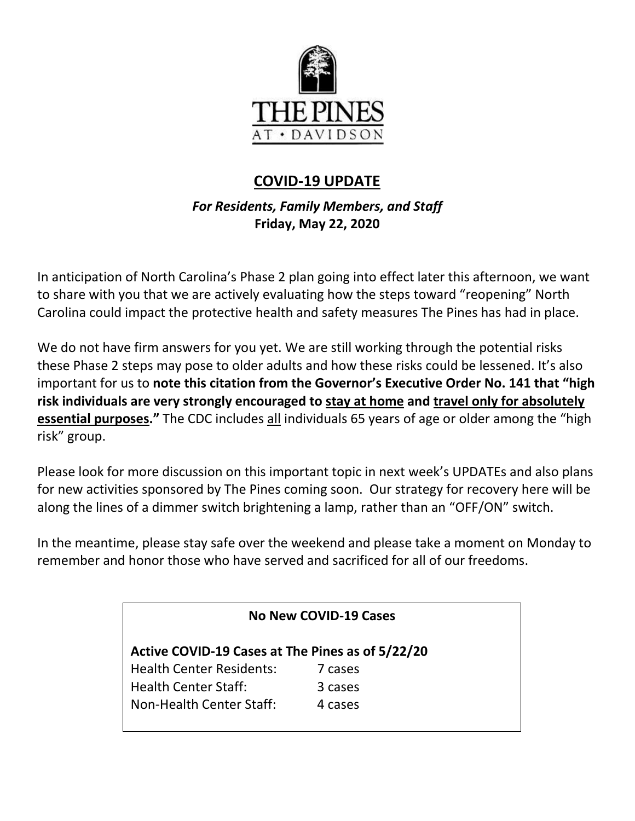

# **COVID-19 UPDATE**

# *For Residents, Family Members, and Staff* **Friday, May 22, 2020**

In anticipation of North Carolina's Phase 2 plan going into effect later this afternoon, we want to share with you that we are actively evaluating how the steps toward "reopening" North Carolina could impact the protective health and safety measures The Pines has had in place.

We do not have firm answers for you yet. We are still working through the potential risks these Phase 2 steps may pose to older adults and how these risks could be lessened. It's also important for us to **note this citation from the Governor's Executive Order No. 141 that "high risk individuals are very strongly encouraged to stay at home and travel only for absolutely essential purposes."** The CDC includes all individuals 65 years of age or older among the "high risk" group.

Please look for more discussion on this important topic in next week's UPDATEs and also plans for new activities sponsored by The Pines coming soon. Our strategy for recovery here will be along the lines of a dimmer switch brightening a lamp, rather than an "OFF/ON" switch.

In the meantime, please stay safe over the weekend and please take a moment on Monday to remember and honor those who have served and sacrificed for all of our freedoms.

| No New COVID-19 Cases                            |         |
|--------------------------------------------------|---------|
| Active COVID-19 Cases at The Pines as of 5/22/20 |         |
| <b>Health Center Residents:</b>                  | 7 cases |
| <b>Health Center Staff:</b>                      | 3 cases |
| Non-Health Center Staff:                         | 4 cases |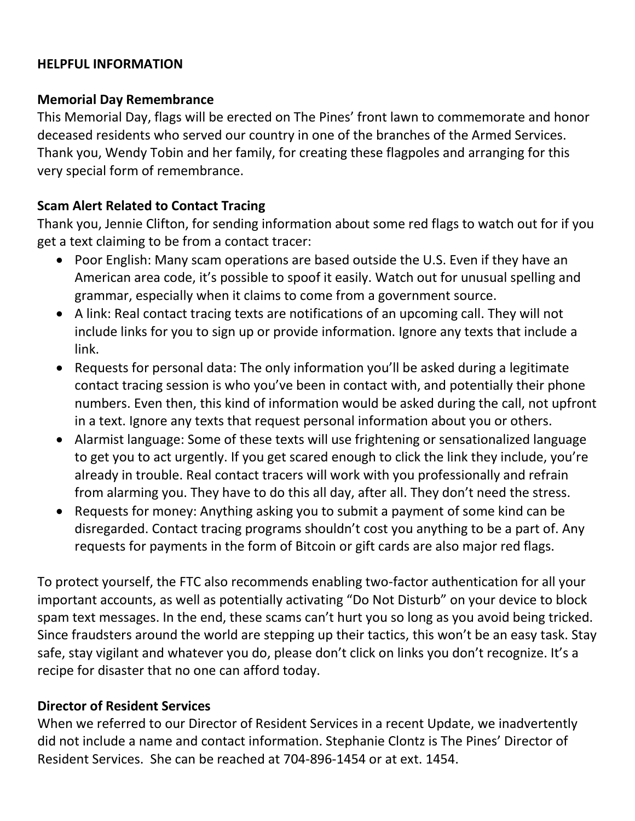#### **HELPFUL INFORMATION**

#### **Memorial Day Remembrance**

This Memorial Day, flags will be erected on The Pines' front lawn to commemorate and honor deceased residents who served our country in one of the branches of the Armed Services. Thank you, Wendy Tobin and her family, for creating these flagpoles and arranging for this very special form of remembrance.

#### **Scam Alert Related to Contact Tracing**

Thank you, Jennie Clifton, for sending information about some red flags to watch out for if you get a text claiming to be from a contact tracer:

- Poor English: Many scam operations are based outside the U.S. Even if they have an American area code, it's possible to spoof it easily. Watch out for unusual spelling and grammar, especially when it claims to come from a government source.
- A link: Real contact tracing texts are notifications of an upcoming call. They will not include links for you to sign up or provide information. Ignore any texts that include a link.
- Requests for personal data: The only information you'll be asked during a legitimate contact tracing session is who you've been in contact with, and potentially their phone numbers. Even then, this kind of information would be asked during the call, not upfront in a text. Ignore any texts that request personal information about you or others.
- Alarmist language: Some of these texts will use frightening or sensationalized language to get you to act urgently. If you get scared enough to click the link they include, you're already in trouble. Real contact tracers will work with you professionally and refrain from alarming you. They have to do this all day, after all. They don't need the stress.
- Requests for money: Anything asking you to submit a payment of some kind can be disregarded. Contact tracing programs shouldn't cost you anything to be a part of. Any requests for payments in the form of Bitcoin or gift cards are also major red flags.

To protect yourself, the FTC also recommends enabling two-factor authentication for all your important accounts, as well as potentially activating "Do Not Disturb" on your device to block spam text messages. In the end, these scams can't hurt you so long as you avoid being tricked. Since fraudsters around the world are stepping up their tactics, this won't be an easy task. Stay safe, stay vigilant and whatever you do, please don't click on links you don't recognize. It's a recipe for disaster that no one can afford today.

#### **Director of Resident Services**

When we referred to our Director of Resident Services in a recent Update, we inadvertently did not include a name and contact information. Stephanie Clontz is The Pines' Director of Resident Services. She can be reached at 704-896-1454 or at ext. 1454.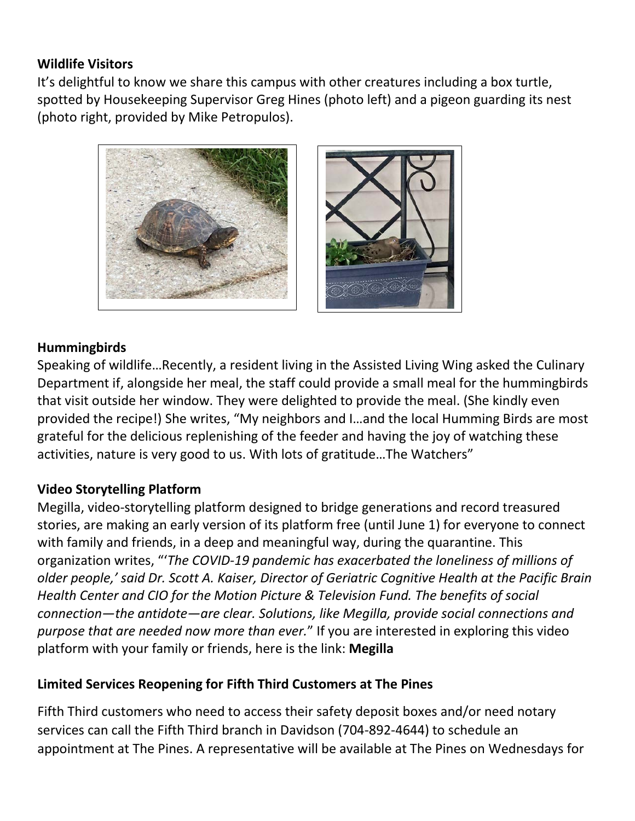### **Wildlife Visitors**

It's delightful to know we share this campus with other creatures including a box turtle, spotted by Housekeeping Supervisor Greg Hines (photo left) and a pigeon guarding its nest (photo right, provided by Mike Petropulos).



### **Hummingbirds**

Speaking of wildlife…Recently, a resident living in the Assisted Living Wing asked the Culinary Department if, alongside her meal, the staff could provide a small meal for the hummingbirds that visit outside her window. They were delighted to provide the meal. (She kindly even provided the recipe!) She writes, "My neighbors and I…and the local Humming Birds are most grateful for the delicious replenishing of the feeder and having the joy of watching these activities, nature is very good to us. With lots of gratitude…The Watchers"

## **Video Storytelling Platform**

Megilla, video-storytelling platform designed to bridge generations and record treasured stories, are making an early version of its platform free (until June 1) for everyone to connect with family and friends, in a deep and meaningful way, during the quarantine. This organization writes, "'*The COVID-19 pandemic has exacerbated the loneliness of millions of older people,' said Dr. Scott A. Kaiser, Director of Geriatric Cognitive Health at the Pacific Brain Health Center and CIO for the Motion Picture & Television Fund. The benefits of social connection—the antidote—are clear. Solutions, like Megilla, provide social connections and purpose that are needed now more than ever.*" If you are interested in exploring this video platform with your family or friends, here is the link: **[Megilla](https://megilla.com/)**

## **Limited Services Reopening for Fifth Third Customers at The Pines**

Fifth Third customers who need to access their safety deposit boxes and/or need notary services can call the Fifth Third branch in Davidson (704-892-4644) to schedule an appointment at The Pines. A representative will be available at The Pines on Wednesdays for